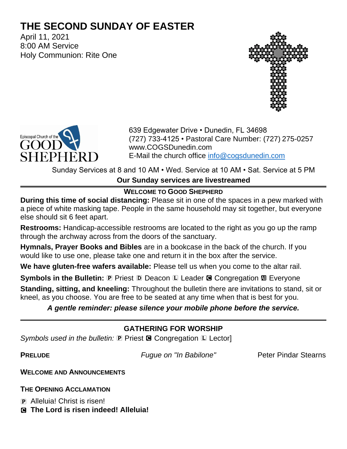# **THE SECOND SUNDAY OF EASTER**

April 11, 2021 8:00 AM Service Holy Communion: Rite One





639 Edgewater Drive • Dunedin, FL 34698 (727) 733-4125 • Pastoral Care Number: (727) 275-0257 www.COGSDunedin.com E-Mail the church office [info@cogsdunedin.com](mailto:info@cogsdunedin.com)

Sunday Services at 8 and 10 AM • Wed. Service at 10 AM • Sat. Service at 5 PM **Our Sunday services are livestreamed**

#### **WELCOME TO GOOD SHEPHERD**

**During this time of social distancing:** Please sit in one of the spaces in a pew marked with a piece of white masking tape. People in the same household may sit together, but everyone else should sit 6 feet apart.

**Restrooms:** Handicap-accessible restrooms are located to the right as you go up the ramp through the archway across from the doors of the sanctuary.

**Hymnals, Prayer Books and Bibles** are in a bookcase in the back of the church. If you would like to use one, please take one and return it in the box after the service.

**We have gluten-free wafers available:** Please tell us when you come to the altar rail.

**Symbols in the Bulletin: P** Priest **D** Deacon **L** Leader **G** Congregation **M** Everyone

**Standing, sitting, and kneeling:** Throughout the bulletin there are invitations to stand, sit or kneel, as you choose. You are free to be seated at any time when that is best for you.

*A gentle reminder: please silence your mobile phone before the service.*

# **GATHERING FOR WORSHIP**

*Symbols used in the bulletin:* **P** Priest **@** Congregation **L** Lector]

**PRELUDE** *Fugue on "In Babilone"* Peter Pindar Stearns

**WELCOME AND ANNOUNCEMENTS**

**THE OPENING ACCLAMATION** 

P Alleluia! Christ is risen!

C **The Lord is risen indeed! Alleluia!**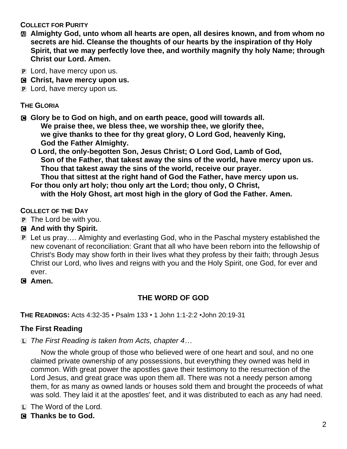**COLLECT FOR PURITY**

- a **Almighty God, unto whom all hearts are open, all desires known, and from whom no secrets are hid. Cleanse the thoughts of our hearts by the inspiration of thy Holy Spirit, that we may perfectly love thee, and worthily magnify thy holy Name; through Christ our Lord. Amen.**
- **P** Lord, have mercy upon us.
- C **Christ, have mercy upon us.**
- P Lord, have mercy upon us.

### **THE GLORIA**

- C **Glory be to God on high, and on earth peace, good will towards all. We praise thee, we bless thee, we worship thee, we glorify thee, we give thanks to thee for thy great glory, O Lord God, heavenly King, God the Father Almighty.**
	- **O Lord, the only-begotten Son, Jesus Christ; O Lord God, Lamb of God, Son of the Father, that takest away the sins of the world, have mercy upon us. Thou that takest away the sins of the world, receive our prayer. Thou that sittest at the right hand of God the Father, have mercy upon us.**
	- **For thou only art holy; thou only art the Lord; thou only, O Christ, with the Holy Ghost, art most high in the glory of God the Father. Amen.**

#### **COLLECT OF THE DAY**

 $\overline{P}$  The Lord be with you.

## C **And with thy Spirit.**

- P Let us pray…. Almighty and everlasting God, who in the Paschal mystery established the new covenant of reconciliation: Grant that all who have been reborn into the fellowship of Christ's Body may show forth in their lives what they profess by their faith; through Jesus Christ our Lord, who lives and reigns with you and the Holy Spirit, one God, for ever and ever.
- C **Amen.**

# **THE WORD OF GOD**

**THE READINGS:** Acts 4:32-35 • Psalm 133 • 1 John 1:1-2:2 •John 20:19-31

## **The First Reading**

L *The First Reading is taken from Acts, chapter 4…*

Now the whole group of those who believed were of one heart and soul, and no one claimed private ownership of any possessions, but everything they owned was held in common. With great power the apostles gave their testimony to the resurrection of the Lord Jesus, and great grace was upon them all. There was not a needy person among them, for as many as owned lands or houses sold them and brought the proceeds of what was sold. They laid it at the apostles' feet, and it was distributed to each as any had need.

- $\Box$  The Word of the Lord.
- C **Thanks be to God.**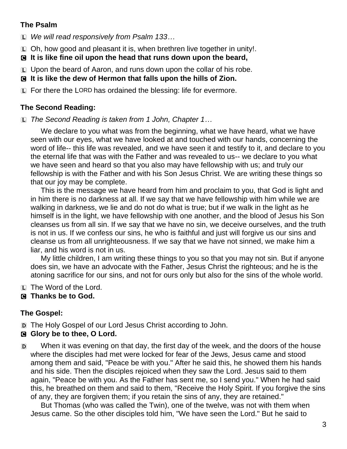### **The Psalm**

L *We will read responsively from Psalm 133…*

 $\Box$  Oh, how good and pleasant it is, when brethren live together in unity!.

C **It is like fine oil upon the head that runs down upon the beard,**

L Upon the beard of Aaron, and runs down upon the collar of his robe.

C **It is like the dew of Hermon that falls upon the hills of Zion.**

L For there the LORD has ordained the blessing: life for evermore.

#### **The Second Reading:**

L *The Second Reading is taken from 1 John, Chapter 1…*

We declare to you what was from the beginning, what we have heard, what we have seen with our eyes, what we have looked at and touched with our hands, concerning the word of life-- this life was revealed, and we have seen it and testify to it, and declare to you the eternal life that was with the Father and was revealed to us-- we declare to you what we have seen and heard so that you also may have fellowship with us; and truly our fellowship is with the Father and with his Son Jesus Christ. We are writing these things so that our joy may be complete.

This is the message we have heard from him and proclaim to you, that God is light and in him there is no darkness at all. If we say that we have fellowship with him while we are walking in darkness, we lie and do not do what is true; but if we walk in the light as he himself is in the light, we have fellowship with one another, and the blood of Jesus his Son cleanses us from all sin. If we say that we have no sin, we deceive ourselves, and the truth is not in us. If we confess our sins, he who is faithful and just will forgive us our sins and cleanse us from all unrighteousness. If we say that we have not sinned, we make him a liar, and his word is not in us.

My little children, I am writing these things to you so that you may not sin. But if anyone does sin, we have an advocate with the Father, Jesus Christ the righteous; and he is the atoning sacrifice for our sins, and not for ours only but also for the sins of the whole world.

L The Word of the Lord.

#### C **Thanks be to God.**

#### **The Gospel:**

D The Holy Gospel of our Lord Jesus Christ according to John.

#### **G** Glory be to thee, O Lord.

D When it was evening on that day, the first day of the week, and the doors of the house where the disciples had met were locked for fear of the Jews, Jesus came and stood among them and said, "Peace be with you." After he said this, he showed them his hands and his side. Then the disciples rejoiced when they saw the Lord. Jesus said to them again, "Peace be with you. As the Father has sent me, so I send you." When he had said this, he breathed on them and said to them, "Receive the Holy Spirit. If you forgive the sins of any, they are forgiven them; if you retain the sins of any, they are retained."

But Thomas (who was called the Twin), one of the twelve, was not with them when Jesus came. So the other disciples told him, "We have seen the Lord." But he said to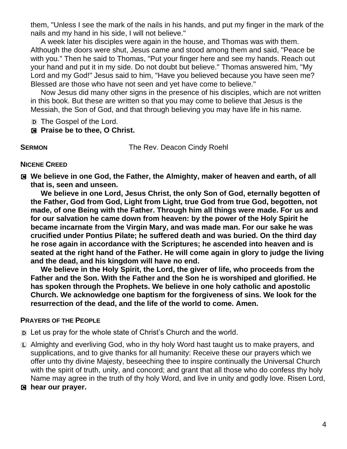them, "Unless I see the mark of the nails in his hands, and put my finger in the mark of the nails and my hand in his side, I will not believe."

A week later his disciples were again in the house, and Thomas was with them. Although the doors were shut, Jesus came and stood among them and said, "Peace be with you." Then he said to Thomas, "Put your finger here and see my hands. Reach out your hand and put it in my side. Do not doubt but believe." Thomas answered him, "My Lord and my God!" Jesus said to him, "Have you believed because you have seen me? Blessed are those who have not seen and yet have come to believe."

Now Jesus did many other signs in the presence of his disciples, which are not written in this book. But these are written so that you may come to believe that Jesus is the Messiah, the Son of God, and that through believing you may have life in his name.

D The Gospel of the Lord.

C **Praise be to thee, O Christ.**

**SERMON** The Rev. Deacon Cindy Roehl

#### **NICENE CREED**

C **We believe in one God, the Father, the Almighty, maker of heaven and earth, of all that is, seen and unseen.** 

**We believe in one Lord, Jesus Christ, the only Son of God, eternally begotten of the Father, God from God, Light from Light, true God from true God, begotten, not made, of one Being with the Father. Through him all things were made. For us and for our salvation he came down from heaven: by the power of the Holy Spirit he became incarnate from the Virgin Mary, and was made man. For our sake he was crucified under Pontius Pilate; he suffered death and was buried. On the third day he rose again in accordance with the Scriptures; he ascended into heaven and is seated at the right hand of the Father. He will come again in glory to judge the living and the dead, and his kingdom will have no end.**

**We believe in the Holy Spirit, the Lord, the giver of life, who proceeds from the Father and the Son. With the Father and the Son he is worshiped and glorified. He has spoken through the Prophets. We believe in one holy catholic and apostolic Church. We acknowledge one baptism for the forgiveness of sins. We look for the resurrection of the dead, and the life of the world to come. Amen.**

#### **PRAYERS OF THE PEOPLE**

- D Let us pray for the whole state of Christ's Church and the world.
- L Almighty and everliving God, who in thy holy Word hast taught us to make prayers, and supplications, and to give thanks for all humanity: Receive these our prayers which we offer unto thy divine Majesty, beseeching thee to inspire continually the Universal Church with the spirit of truth, unity, and concord; and grant that all those who do confess thy holy Name may agree in the truth of thy holy Word, and live in unity and godly love. Risen Lord,
- C **hear our prayer.**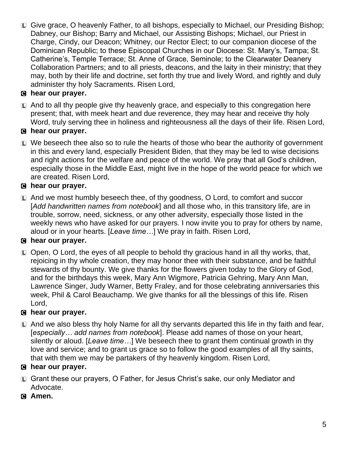L Give grace, O heavenly Father, to all bishops, especially to Michael, our Presiding Bishop; Dabney, our Bishop; Barry and Michael, our Assisting Bishops; Michael, our Priest in Charge, Cindy, our Deacon; Whitney, our Rector Elect; to our companion diocese of the Dominican Republic; to these Episcopal Churches in our Diocese: St. Mary's, Tampa; St. Catherine's, Temple Terrace; St. Anne of Grace, Seminole; to the Clearwater Deanery Collaboration Partners; and to all priests, deacons, and the laity in their ministry; that they may, both by their life and doctrine, set forth thy true and lively Word, and rightly and duly administer thy holy Sacraments. Risen Lord,

## C **hear our prayer.**

L And to all thy people give thy heavenly grace, and especially to this congregation here present; that, with meek heart and due reverence, they may hear and receive thy holy Word, truly serving thee in holiness and righteousness all the days of their life. Risen Lord,

## C **hear our prayer.**

 $E$  We beseech thee also so to rule the hearts of those who bear the authority of government in this and every land, especially President Biden, that they may be led to wise decisions and right actions for the welfare and peace of the world. We pray that all God's children, especially those in the Middle East, might live in the hope of the world peace for which we are created. Risen Lord,

## C **hear our prayer.**

 $\Box$  And we most humbly beseech thee, of thy goodness, O Lord, to comfort and succor [*Add handwritten names from notebook*] and all those who, in this transitory life, are in trouble, sorrow, need, sickness, or any other adversity, especially those listed in the weekly news who have asked for our prayers. I now invite you to pray for others by name, aloud or in your hearts. [*Leave time…*] We pray in faith. Risen Lord,

## C **hear our prayer.**

 $\Box$  Open, O Lord, the eyes of all people to behold thy gracious hand in all thy works, that, rejoicing in thy whole creation, they may honor thee with their substance, and be faithful stewards of thy bounty. We give thanks for the flowers given today to the Glory of God, and for the birthdays this week, Mary Ann Wigmore, Patricia Gehring, Mary Ann Man, Lawrence Singer, Judy Warner, Betty Fraley, and for those celebrating anniversaries this week, Phil & Carol Beauchamp. We give thanks for all the blessings of this life. Risen Lord,

## C **hear our prayer.**

 $E$  And we also bless thy holy Name for all thy servants departed this life in thy faith and fear, [*especially… add names from notebook*]. Please add names of those on your heart, silently or aloud. [*Leave time…*] We beseech thee to grant them continual growth in thy love and service; and to grant us grace so to follow the good examples of all thy saints, that with them we may be partakers of thy heavenly kingdom. Risen Lord,

#### C **hear our prayer.**

L Grant these our prayers, O Father, for Jesus Christ's sake, our only Mediator and Advocate.

#### C **Amen.**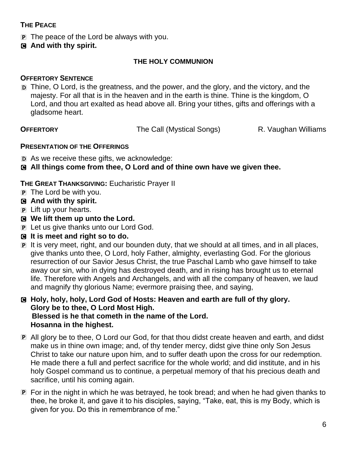## **THE PEACE**

- P The peace of the Lord be always with you.
- C **And with thy spirit.**

#### **THE HOLY COMMUNION**

#### **OFFERTORY SENTENCE**

D Thine, O Lord, is the greatness, and the power, and the glory, and the victory, and the majesty. For all that is in the heaven and in the earth is thine. Thine is the kingdom, O Lord, and thou art exalted as head above all. Bring your tithes, gifts and offerings with a gladsome heart.

**OFFERTORY** The Call (Mystical Songs) R. Vaughan Williams

#### **PRESENTATION OF THE OFFERINGS**

- D As we receive these gifts, we acknowledge:
- C **All things come from thee, O Lord and of thine own have we given thee.**

#### **THE GREAT THANKSGIVING:** Eucharistic Prayer II

- $\overline{P}$  The Lord be with you.
- C **And with thy spirit.**
- P Lift up your hearts.
- C **We lift them up unto the Lord.**
- P Let us give thanks unto our Lord God.
- C **It is meet and right so to do.**
- P It is very meet, right, and our bounden duty, that we should at all times, and in all places, give thanks unto thee, O Lord, holy Father, almighty, everlasting God. For the glorious resurrection of our Savior Jesus Christ, the true Paschal Lamb who gave himself to take away our sin, who in dying has destroyed death, and in rising has brought us to eternal life. Therefore with Angels and Archangels, and with all the company of heaven, we laud and magnify thy glorious Name; evermore praising thee, and saying,
- C **Holy, holy, holy, Lord God of Hosts: Heaven and earth are full of thy glory. Glory be to thee, O Lord Most High. Blessed is he that cometh in the name of the Lord. Hosanna in the highest.**
- P All glory be to thee, O Lord our God, for that thou didst create heaven and earth, and didst make us in thine own image; and, of thy tender mercy, didst give thine only Son Jesus Christ to take our nature upon him, and to suffer death upon the cross for our redemption. He made there a full and perfect sacrifice for the whole world; and did institute, and in his holy Gospel command us to continue, a perpetual memory of that his precious death and sacrifice, until his coming again.
- P For in the night in which he was betrayed, he took bread; and when he had given thanks to thee, he broke it, and gave it to his disciples, saying, "Take, eat, this is my Body, which is given for you. Do this in remembrance of me."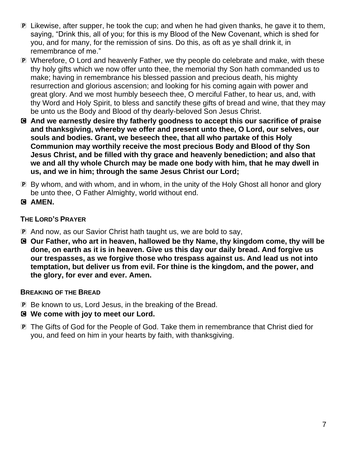- P Likewise, after supper, he took the cup; and when he had given thanks, he gave it to them, saying, "Drink this, all of you; for this is my Blood of the New Covenant, which is shed for you, and for many, for the remission of sins. Do this, as oft as ye shall drink it, in remembrance of me."
- P Wherefore, O Lord and heavenly Father, we thy people do celebrate and make, with these thy holy gifts which we now offer unto thee, the memorial thy Son hath commanded us to make; having in remembrance his blessed passion and precious death, his mighty resurrection and glorious ascension; and looking for his coming again with power and great glory. And we most humbly beseech thee, O merciful Father, to hear us, and, with thy Word and Holy Spirit, to bless and sanctify these gifts of bread and wine, that they may be unto us the Body and Blood of thy dearly-beloved Son Jesus Christ.
- C **And we earnestly desire thy fatherly goodness to accept this our sacrifice of praise and thanksgiving, whereby we offer and present unto thee, O Lord, our selves, our souls and bodies. Grant, we beseech thee, that all who partake of this Holy Communion may worthily receive the most precious Body and Blood of thy Son Jesus Christ, and be filled with thy grace and heavenly benediction; and also that we and all thy whole Church may be made one body with him, that he may dwell in us, and we in him; through the same Jesus Christ our Lord;**
- P By whom, and with whom, and in whom, in the unity of the Holy Ghost all honor and glory be unto thee, O Father Almighty, world without end.
- C **AMEN.**

## **THE LORD'S PRAYER**

- P And now, as our Savior Christ hath taught us, we are bold to say,
- C **Our Father, who art in heaven, hallowed be thy Name, thy kingdom come, thy will be done, on earth as it is in heaven. Give us this day our daily bread. And forgive us our trespasses, as we forgive those who trespass against us. And lead us not into temptation, but deliver us from evil. For thine is the kingdom, and the power, and the glory, for ever and ever. Amen.**

#### **BREAKING OF THE BREAD**

- P Be known to us, Lord Jesus, in the breaking of the Bread.
- C **We come with joy to meet our Lord.**
- P The Gifts of God for the People of God. Take them in remembrance that Christ died for you, and feed on him in your hearts by faith, with thanksgiving.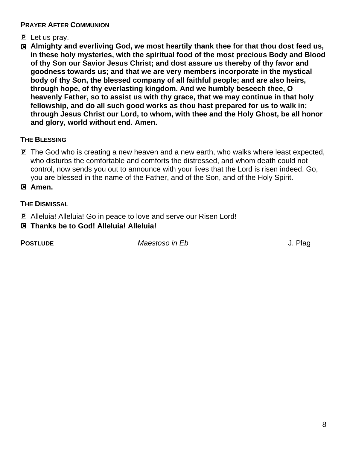#### **PRAYER AFTER COMMUNION**

- P Let us pray.
- C **Almighty and everliving God, we most heartily thank thee for that thou dost feed us, in these holy mysteries, with the spiritual food of the most precious Body and Blood of thy Son our Savior Jesus Christ; and dost assure us thereby of thy favor and goodness towards us; and that we are very members incorporate in the mystical body of thy Son, the blessed company of all faithful people; and are also heirs, through hope, of thy everlasting kingdom. And we humbly beseech thee, O heavenly Father, so to assist us with thy grace, that we may continue in that holy fellowship, and do all such good works as thou hast prepared for us to walk in; through Jesus Christ our Lord, to whom, with thee and the Holy Ghost, be all honor and glory, world without end. Amen.**

## **THE BLESSING**

- P The God who is creating a new heaven and a new earth, who walks where least expected, who disturbs the comfortable and comforts the distressed, and whom death could not control, now sends you out to announce with your lives that the Lord is risen indeed. Go, you are blessed in the name of the Father, and of the Son, and of the Holy Spirit.
- C **Amen.**

#### **THE DISMISSAL**

- P Alleluia! Alleluia! Go in peace to love and serve our Risen Lord!
- C **Thanks be to God! Alleluia! Alleluia!**

**POSTLUDE** *Maestoso in Eb* J. Plag